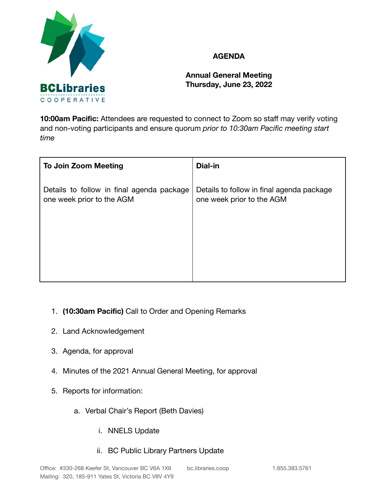

## **AGENDA**

**Annual General Meeting Thursday, June 23, 2022**

**10:00am Pacific:** Attendees are requested to connect to Zoom so staff may verify voting and non-voting participants and ensure quorum *prior to 10:30am Pacific meeting start time*

| <b>To Join Zoom Meeting</b>                                            | Dial-in                                                                |
|------------------------------------------------------------------------|------------------------------------------------------------------------|
| Details to follow in final agenda package<br>one week prior to the AGM | Details to follow in final agenda package<br>one week prior to the AGM |
|                                                                        |                                                                        |

- 1. **(10:30am Pacific)** Call to Order and Opening Remarks
- 2. Land Acknowledgement
- 3. Agenda, for approval
- 4. Minutes of the 2021 Annual General Meeting, for approval
- 5. Reports for information:
	- a. Verbal Chair's Report (Beth Davies)
		- i. NNELS Update
		- ii. BC Public Library Partners Update